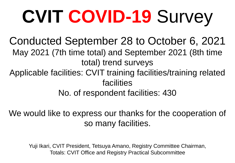# **CVIT COVID-19** Survey

Conducted September 28 to October 6, 2021 May 2021 (7th time total) and September 2021 (8th time total) trend surveys

Applicable facilities: CVIT training facilities/training related facilities

No. of respondent facilities: 430

We would like to express our thanks for the cooperation of so many facilities.

Yuji Ikari, CVIT President, Tetsuya Amano, Registry Committee Chairman, Totals: CVIT Office and Registry Practical Subcommittee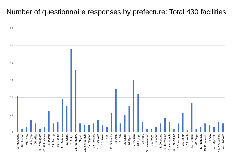#### Number of questionnaire responses by prefecture: Total 430 facilities

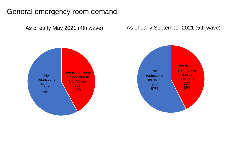#### General emergency room demand



#### As of early September 2021 (5th wave)

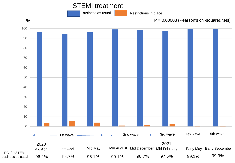#### STEMI treatment

Business as usual



 $\%$  P = 0.00003 (Pearson's chi-squared test)

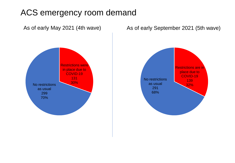### ACS emergency room demand



#### As of early May 2021 (4th wave) As of early September 2021 (5th wave)

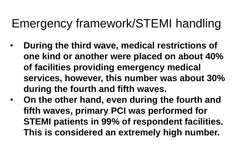## Emergency framework/STEMI handling

- **During the third wave, medical restrictions of one kind or another were placed on about 40% of facilities providing emergency medical services, however, this number was about 30% during the fourth and fifth waves.**
- **On the other hand, even during the fourth and fifth waves, primary PCI was performed for STEMI patients in 99% of respondent facilities. This is considered an extremely high number.**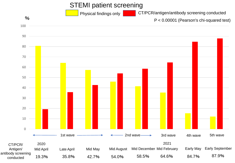#### STEMI patient screening

Physical findings only

%

CT/PCR/antigen/antibody screening conducted

P < 0.00001 (Pearson's chi-squared test)

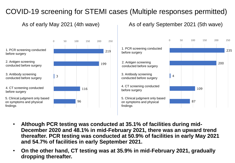#### COVID-19 screening for STEMI cases (Multiple responses permitted)







- **Although PCR testing was conducted at 35.1% of facilities during mid-December 2020 and 48.1% in mid-February 2021, there was an upward trend thereafter. PCR testing was conducted at 50.9% of facilities in early May 2021 and 54.7% of facilities in early September 2021.**
- **On the other hand, CT testing was at 35.9% in mid-February 2021, gradually dropping thereafter.**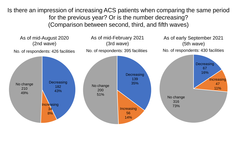Is there an impression of increasing ACS patients when comparing the same period for the previous year? Or is the number decreasing? (Comparison between second, third, and fifth waves)

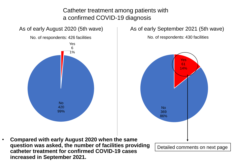Catheter treatment among patients with a confirmed COVID-19 diagnosis

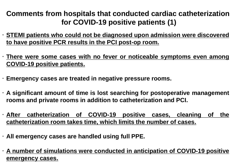#### **Comments from hospitals that conducted cardiac catheterization for COVID-19 positive patients (1)**

 **STEMI patients who could not be diagnosed upon admission were discovered to have positive PCR results in the PCI post-op room.**

 **There were some cases with no fever or noticeable symptoms even among COVID-19 positive patients.**

**Emergency cases are treated in negative pressure rooms.**

 **A significant amount of time is lost searching for postoperative management rooms and private rooms in addition to catheterization and PCI.**

 **After catheterization of COVID-19 positive cases, cleaning of the catheterization room takes time, which limits the number of cases.**

**All emergency cases are handled using full PPE.**

 **A number of simulations were conducted in anticipation of COVID-19 positive emergency cases.**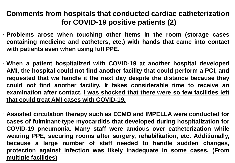**Comments from hospitals that conducted cardiac catheterization for COVID-19 positive patients (2)**

 **Problems arose when touching other items in the room (storage cases containing medicine and catheters, etc.) with hands that came into contact with patients even when using full PPE.**

 **When a patient hospitalized with COVID-19 at another hospital developed AMI, the hospital could not find another facility that could perform a PCI, and requested that we handle it the next day despite the distance because they could not find another facility. It takes considerable time to receive an examination after contact. I was shocked that there were so few facilities left that could treat AMI cases with COVID-19.**

 **Assisted circulation therapy such as ECMO and IMPELLA were conducted for cases of fulminant-type myocarditis that developed during hospitalization for COVID-19 pneumonia. Many staff were anxious over catheterization while wearing PPE, securing rooms after surgery, rehabilitation, etc. Additionally, because a large number of staff needed to handle sudden changes, protection against infection was likely inadequate in some cases. (From multiple facilities)**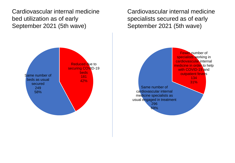Cardiovascular internal medicine bed utilization as of early September 2021 (5th wave)

> Reduced due to securing COVID-19 beds 181 42% Same number of beds as usual secured 249 58%

Cardiovascular internal medicine specialists secured as of early September 2021 (5th wave)

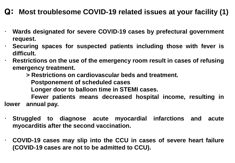#### Q: **Most troublesome COVID-19 related issues at your facility (1)**

- **Wards designated for severe COVID-19 cases by prefectural government request.**
	- **Securing spaces for suspected patients including those with fever is difficult.**
	- **Restrictions on the use of the emergency room result in cases of refusing emergency treatment.**
		- **> Restrictions on cardiovascular beds and treatment.**

**Postponement of scheduled cases**

**Longer door to balloon time in STEMI cases.**

**Fewer patients means decreased hospital income, resulting in lower annual pay.**

- **Struggled to diagnose acute myocardial infarctions and acute myocarditis after the second vaccination.**
- **COVID-19 cases may slip into the CCU in cases of severe heart failure (COVID-19 cases are not to be admitted to CCU).**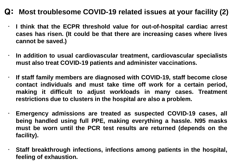#### Q: **Most troublesome COVID-19 related issues at your facility (2)**

 **I think that the ECPR threshold value for out-of-hospital cardiac arrest cases has risen. (It could be that there are increasing cases where lives cannot be saved.)**

 **In addition to usual cardiovascular treatment, cardiovascular specialists must also treat COVID-19 patients and administer vaccinations.**

 **If staff family members are diagnosed with COVID-19, staff become close contact individuals and must take time off work for a certain period, making it difficult to adjust workloads in many cases. Treatment restrictions due to clusters in the hospital are also a problem.**

 **Emergency admissions are treated as suspected COVID-19 cases, all being handled using full PPE, making everything a hassle. N95 masks must be worn until the PCR test results are returned (depends on the facility).**

 **Staff breakthrough infections, infections among patients in the hospital, feeling of exhaustion.**